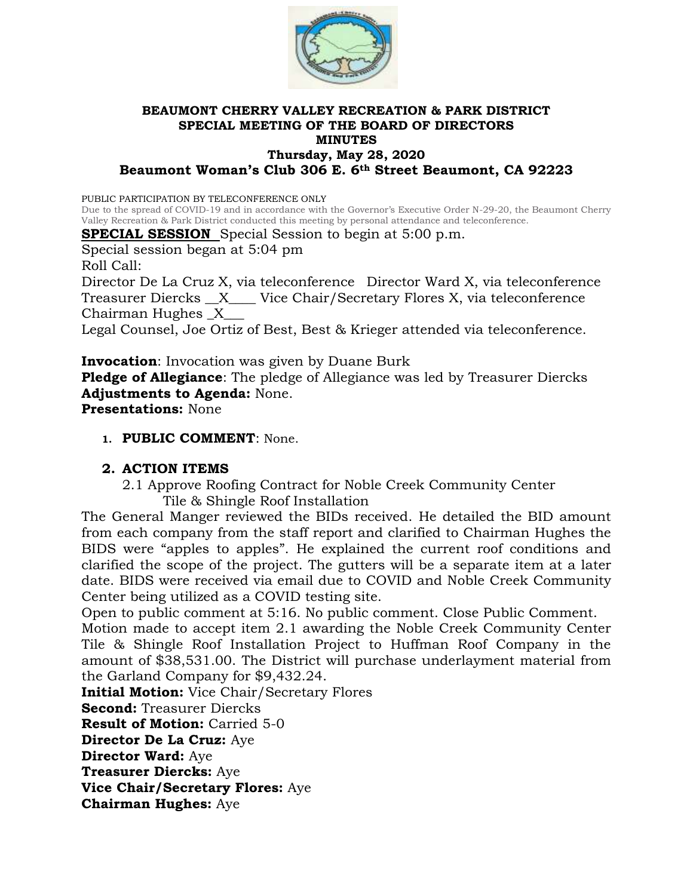

#### **BEAUMONT CHERRY VALLEY RECREATION & PARK DISTRICT SPECIAL MEETING OF THE BOARD OF DIRECTORS MINUTES Thursday, May 28, 2020 Beaumont Woman's Club 306 E. 6th Street Beaumont, CA 92223**

PUBLIC PARTICIPATION BY TELECONFERENCE ONLY

Due to the spread of COVID-19 and in accordance with the Governor's Executive Order N-29-20, the Beaumont Cherry Valley Recreation & Park District conducted this meeting by personal attendance and teleconference.

**SPECIAL SESSION** Special Session to begin at 5:00 p.m.

Special session began at 5:04 pm

Roll Call:

Director De La Cruz X, via teleconference Director Ward X, via teleconference Treasurer Diercks \_\_X\_\_\_\_ Vice Chair/Secretary Flores X, via teleconference Chairman Hughes \_X\_\_\_

Legal Counsel, Joe Ortiz of Best, Best & Krieger attended via teleconference.

**Invocation**: Invocation was given by Duane Burk

**Pledge of Allegiance**: The pledge of Allegiance was led by Treasurer Diercks **Adjustments to Agenda:** None.

**Presentations:** None

**1. PUBLIC COMMENT**: None.

#### **2. ACTION ITEMS**

2.1 Approve Roofing Contract for Noble Creek Community Center Tile & Shingle Roof Installation

The General Manger reviewed the BIDs received. He detailed the BID amount from each company from the staff report and clarified to Chairman Hughes the BIDS were "apples to apples". He explained the current roof conditions and clarified the scope of the project. The gutters will be a separate item at a later date. BIDS were received via email due to COVID and Noble Creek Community Center being utilized as a COVID testing site.

Open to public comment at 5:16. No public comment. Close Public Comment.

Motion made to accept item 2.1 awarding the Noble Creek Community Center Tile & Shingle Roof Installation Project to Huffman Roof Company in the amount of \$38,531.00. The District will purchase underlayment material from the Garland Company for \$9,432.24.

**Initial Motion:** Vice Chair/Secretary Flores

**Second:** Treasurer Diercks

**Result of Motion:** Carried 5-0

**Director De La Cruz:** Aye

**Director Ward:** Aye

**Treasurer Diercks:** Aye

**Vice Chair/Secretary Flores:** Aye

**Chairman Hughes:** Aye